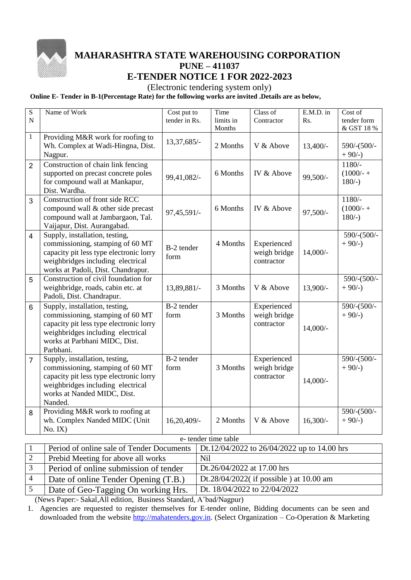

## **MAHARASHTRA STATE WAREHOUSING CORPORATION PUNE – 411037 E-TENDER NOTICE 1 FOR 2022-2023**

## (Electronic tendering system only)

**Online E- Tender in B-1(Percentage Rate) for the following works are invited .Details are as below,**

| S<br>$\mathbf N$    | Name of Work                                                                                                                                                                                     | Cost put to<br>tender in Rs. |                                          | Time<br>limits in                           | Class of<br>Contractor                    | $E.M.D.$ in<br>Rs. | Cost of<br>tender form             |  |
|---------------------|--------------------------------------------------------------------------------------------------------------------------------------------------------------------------------------------------|------------------------------|------------------------------------------|---------------------------------------------|-------------------------------------------|--------------------|------------------------------------|--|
|                     |                                                                                                                                                                                                  |                              |                                          | Months                                      |                                           |                    | & GST 18 %                         |  |
| $\mathbf{1}$        | Providing M&R work for roofing to<br>Wh. Complex at Wadi-Hingna, Dist.<br>Nagpur.                                                                                                                | 13,37,685/-                  |                                          | 2 Months                                    | V & Above                                 | $13,400/-$         | 590/-(500/-<br>$+90/-$             |  |
| $\overline{2}$      | Construction of chain link fencing<br>supported on precast concrete poles<br>for compound wall at Mankapur,<br>Dist. Wardha.                                                                     | 99,41,082/-                  |                                          | 6 Months                                    | IV & Above                                | 99,500/-           | $1180/-$<br>$(1000/- +$<br>$180/-$ |  |
| 3                   | Construction of front side RCC<br>compound wall & other side precast<br>compound wall at Jambargaon, Tal.<br>Vaijapur, Dist. Aurangabad.                                                         | 97,45,591/-                  |                                          | 6 Months                                    | IV & Above                                | 97,500/-           | $1180/-$<br>$(1000/- +$<br>$180/-$ |  |
| $\overline{4}$      | Supply, installation, testing,<br>commissioning, stamping of 60 MT<br>capacity pit less type electronic lorry<br>weighbridges including electrical<br>works at Padoli, Dist. Chandrapur.         | B-2 tender<br>form           |                                          | 4 Months                                    | Experienced<br>weigh bridge<br>contractor | $14,000/-$         | 590/-(500/-<br>$+90/-$             |  |
| 5                   | Construction of civil foundation for<br>weighbridge, roads, cabin etc. at<br>Padoli, Dist. Chandrapur.                                                                                           | 13,89,881/-                  |                                          | 3 Months                                    | V & Above                                 | 13,900/-           | 590/-(500/-<br>$+90/-$             |  |
| 6                   | Supply, installation, testing,<br>commissioning, stamping of 60 MT<br>capacity pit less type electronic lorry<br>weighbridges including electrical<br>works at Parbhani MIDC, Dist.<br>Parbhani. | B-2 tender<br>form           |                                          | 3 Months                                    | Experienced<br>weigh bridge<br>contractor | $14,000/-$         | 590/-(500/-<br>$+90/-$             |  |
| 7                   | Supply, installation, testing,<br>commissioning, stamping of 60 MT<br>capacity pit less type electronic lorry<br>weighbridges including electrical<br>works at Nanded MIDC, Dist.<br>Nanded.     | B-2 tender<br>form           |                                          | 3 Months                                    | Experienced<br>weigh bridge<br>contractor | $14,000/-$         | 590/-(500/-<br>$+90/-$             |  |
| 8                   | Providing M&R work to roofing at<br>wh. Complex Nanded MIDC (Unit<br>No. IX)                                                                                                                     | 16,20,409/-                  |                                          | 2 Months                                    | V & Above                                 | $16,300/-$         | 590/-(500/-<br>$+90/-$             |  |
| e-tender time table |                                                                                                                                                                                                  |                              |                                          |                                             |                                           |                    |                                    |  |
| 1                   | Period of online sale of Tender Documents                                                                                                                                                        |                              |                                          | Dt.12/04/2022 to 26/04/2022 up to 14.00 hrs |                                           |                    |                                    |  |
| $\overline{c}$      | Prebid Meeting for above all works                                                                                                                                                               |                              | <b>Nil</b>                               |                                             |                                           |                    |                                    |  |
| 3                   | Period of online submission of tender                                                                                                                                                            |                              | Dt.26/04/2022 at 17.00 hrs               |                                             |                                           |                    |                                    |  |
| $\overline{4}$      | Date of online Tender Opening (T.B.)                                                                                                                                                             |                              | Dt.28/04/2022(if possible) at $10.00$ am |                                             |                                           |                    |                                    |  |

5 Date of Geo-Tagging On working Hrs. Dt. 18/04/2022 to 22/04/2022 (News Paper:- Sakal,All edition, Business Standard, A'bad/Nagpur)

1. Agencies are requested to register themselves for E-tender online, Bidding documents can be seen and downloaded from the website [http://mahatenders.gov.in.](http://mahatenders.gov.in/) (Select Organization – Co-Operation & Marketing